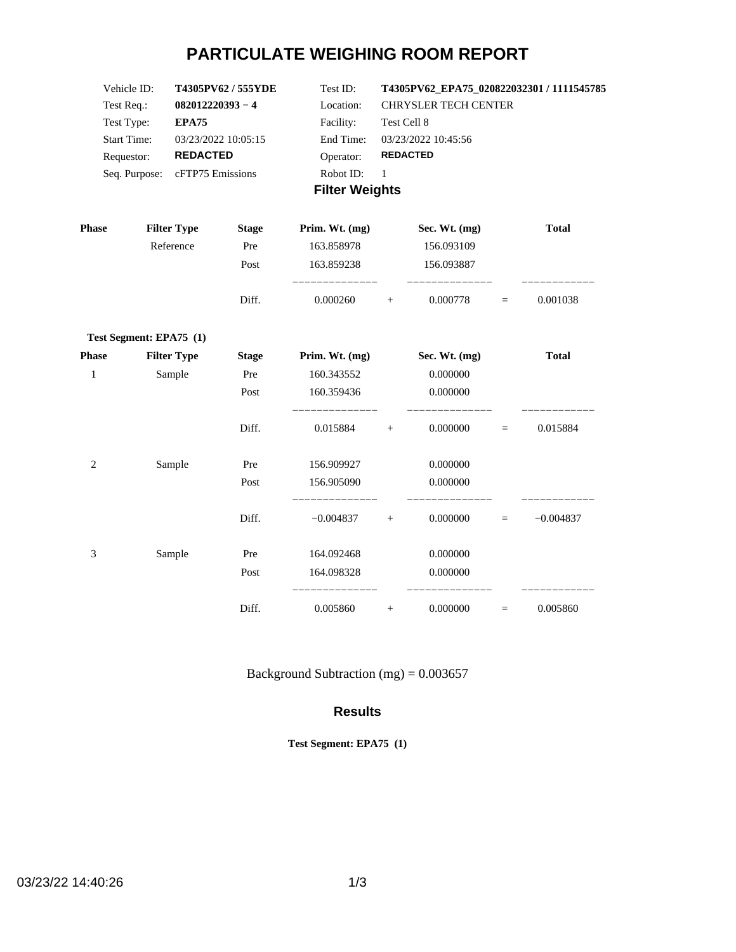# **PARTICULATE WEIGHING ROOM REPORT**

| Vehicle ID:           | T4305PV62/555YDE               | Test ID:  | T4305PV62 EPA75 020822032301 / 1111545785 |  |  |
|-----------------------|--------------------------------|-----------|-------------------------------------------|--|--|
| Test Req.:            | $082012220393 - 4$             | Location: | <b>CHRYSLER TECH CENTER</b>               |  |  |
| Test Type:            | EPA75                          | Facility: | Test Cell 8                               |  |  |
| <b>Start Time:</b>    | 03/23/2022 10:05:15            | End Time: | 03/23/2022 10:45:56                       |  |  |
| Requestor:            | <b>REDACTED</b>                | Operator: | <b>REDACTED</b>                           |  |  |
|                       | Seq. Purpose: cFTP75 Emissions | Robot ID: |                                           |  |  |
| <b>Filter Weights</b> |                                |           |                                           |  |  |

| <b>Phase</b>   | <b>Filter Type</b>      | <b>Stage</b> | Prim. Wt. (mg) |        | Sec. Wt. (mg) |     | <b>Total</b> |
|----------------|-------------------------|--------------|----------------|--------|---------------|-----|--------------|
|                | Reference               | Pre          | 163.858978     |        | 156.093109    |     |              |
|                |                         | Post         | 163.859238     |        | 156.093887    |     |              |
|                |                         | Diff.        | 0.000260       | $+$    | 0.000778      | $=$ | 0.001038     |
|                | Test Segment: EPA75 (1) |              |                |        |               |     |              |
| <b>Phase</b>   | <b>Filter Type</b>      | <b>Stage</b> | Prim. Wt. (mg) |        | Sec. Wt. (mg) |     | <b>Total</b> |
| $\mathbf{1}$   | Sample                  | Pre          | 160.343552     |        | 0.000000      |     |              |
|                |                         | Post         | 160.359436     |        | 0.000000      |     |              |
|                |                         | Diff.        | 0.015884       | $+$    | 0.000000      | $=$ | 0.015884     |
| $\overline{2}$ | Sample                  | Pre          | 156.909927     |        | 0.000000      |     |              |
|                |                         | Post         | 156.905090     |        | 0.000000      |     |              |
|                |                         | Diff.        | $-0.004837$    | $+$    | 0.000000      | $=$ | $-0.004837$  |
| 3              | Sample                  | Pre          | 164.092468     |        | 0.000000      |     |              |
|                |                         | Post         | 164.098328     |        | 0.000000      |     |              |
|                |                         | Diff.        | 0.005860       | $^{+}$ | 0.000000      | $=$ | 0.005860     |

Background Subtraction (mg) =  $0.003657$ 

#### **Results**

**Test Segment: EPA75 (1)**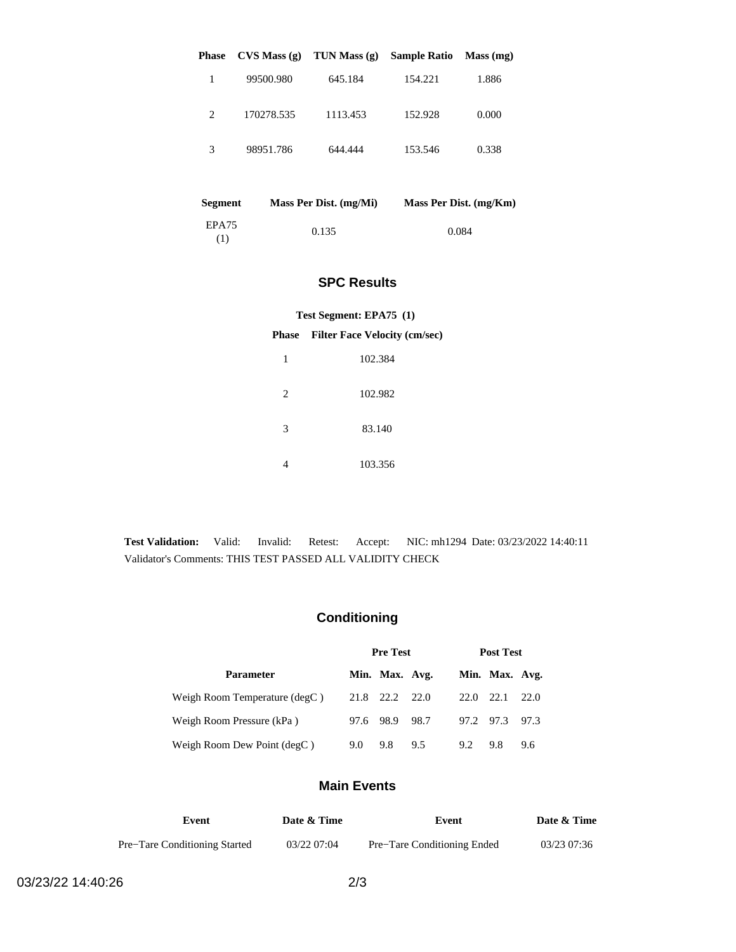| <b>Phase</b> | CVS Mass(g) | TUN Mass $(g)$ | <b>Sample Ratio</b> | Mass (mg) |
|--------------|-------------|----------------|---------------------|-----------|
| 1            | 99500.980   | 645.184        | 154.221             | 1.886     |
| 2            | 170278.535  | 1113.453       | 152.928             | 0.000     |
| 3            | 98951.786   | 644.444        | 153.546             | 0.338     |

| <b>Segment</b> | Mass Per Dist. (mg/Mi) | Mass Per Dist. (mg/Km) |
|----------------|------------------------|------------------------|
| EPA75<br>(1)   | 0.135                  | 0.084                  |

### **SPC Results**

#### **Test Segment: EPA75 (1)**

#### **Phase Filter Face Velocity (cm/sec)**

| 1              | 102.384 |
|----------------|---------|
| $\overline{c}$ | 102.982 |
| 3              | 83.140  |
|                | 103.356 |

**Test Validation:** Valid: Invalid: Retest: Accept: NIC: mh1294 Date: 03/23/2022 14:40:11 Validator's Comments: THIS TEST PASSED ALL VALIDITY CHECK

## **Conditioning**

|                               | <b>Pre Test</b> |                |     | <b>Post Test</b> |                |      |
|-------------------------------|-----------------|----------------|-----|------------------|----------------|------|
| <b>Parameter</b>              |                 | Min. Max. Avg. |     |                  | Min. Max. Avg. |      |
| Weigh Room Temperature (degC) |                 | 21.8 22.2 22.0 |     | 22.0             | 22.1           | 22.0 |
| Weigh Room Pressure (kPa)     |                 | 97.6 98.9 98.7 |     | 97.2 97.3        |                | 97.3 |
| Weigh Room Dew Point (degC)   | 9.0             | 9.8            | 9.5 | 9.2              | 9.8            | 9.6  |

### **Main Events**

| Event                         | Date & Time | Event                       | Date & Time |
|-------------------------------|-------------|-----------------------------|-------------|
| Pre-Tare Conditioning Started | 03/22 07:04 | Pre-Tare Conditioning Ended | 03/23 07:36 |